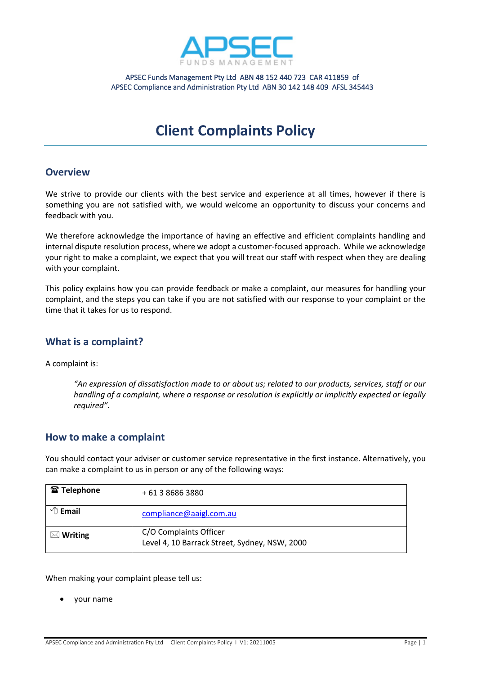

APSEC Funds Management Pty Ltd ABN 48 152 440 723 CAR 411859 of APSEC Compliance and Administration Pty Ltd ABN 30 142 148 409 AFSL 345443

# **Client Complaints Policy**

#### **Overview**

We strive to provide our clients with the best service and experience at all times, however if there is something you are not satisfied with, we would welcome an opportunity to discuss your concerns and feedback with you.

We therefore acknowledge the importance of having an effective and efficient complaints handling and internal dispute resolution process, where we adopt a customer-focused approach. While we acknowledge your right to make a complaint, we expect that you will treat our staff with respect when they are dealing with your complaint.

This policy explains how you can provide feedback or make a complaint, our measures for handling your complaint, and the steps you can take if you are not satisfied with our response to your complaint or the time that it takes for us to respond.

#### **What is a complaint?**

A complaint is:

*"An expression of dissatisfaction made to or about us; related to our products, services, staff or our handling of a complaint, where a response or resolution is explicitly or implicitly expected or legally required".*

#### **How to make a complaint**

You should contact your adviser or customer service representative in the first instance. Alternatively, you can make a complaint to us in person or any of the following ways:

| <b>雷 Telephone</b>    | + 61 3 8686 3880                                                        |
|-----------------------|-------------------------------------------------------------------------|
| $\sqrt{\theta}$ Email | compliance@aaigl.com.au                                                 |
| $\boxtimes$ Writing   | C/O Complaints Officer<br>Level 4, 10 Barrack Street, Sydney, NSW, 2000 |

When making your complaint please tell us:

• your name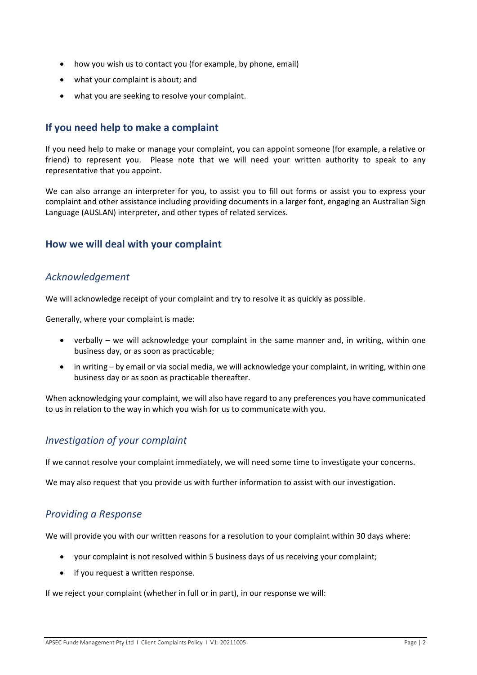- how you wish us to contact you (for example, by phone, email)
- what your complaint is about; and
- what you are seeking to resolve your complaint.

## **If you need help to make a complaint**

If you need help to make or manage your complaint, you can appoint someone (for example, a relative or friend) to represent you. Please note that we will need your written authority to speak to any representative that you appoint.

We can also arrange an interpreter for you, to assist you to fill out forms or assist you to express your complaint and other assistance including providing documents in a larger font, engaging an Australian Sign Language (AUSLAN) interpreter, and other types of related services.

## **How we will deal with your complaint**

#### *Acknowledgement*

We will acknowledge receipt of your complaint and try to resolve it as quickly as possible.

Generally, where your complaint is made:

- verbally we will acknowledge your complaint in the same manner and, in writing, within one business day, or as soon as practicable;
- in writing by email or via social media, we will acknowledge your complaint, in writing, within one business day or as soon as practicable thereafter.

When acknowledging your complaint, we will also have regard to any preferences you have communicated to us in relation to the way in which you wish for us to communicate with you.

#### *Investigation of your complaint*

If we cannot resolve your complaint immediately, we will need some time to investigate your concerns.

We may also request that you provide us with further information to assist with our investigation.

# *Providing a Response*

We will provide you with our written reasons for a resolution to your complaint within 30 days where:

- your complaint is not resolved within 5 business days of us receiving your complaint;
- if you request a written response.

If we reject your complaint (whether in full or in part), in our response we will: